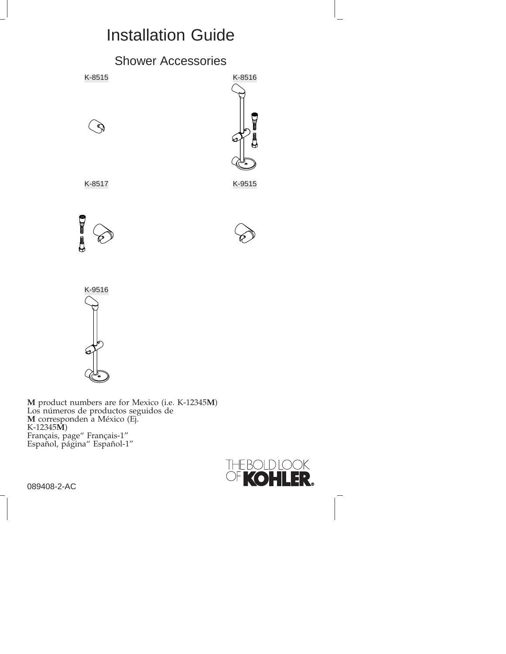# Installation Guide







089408-2-AC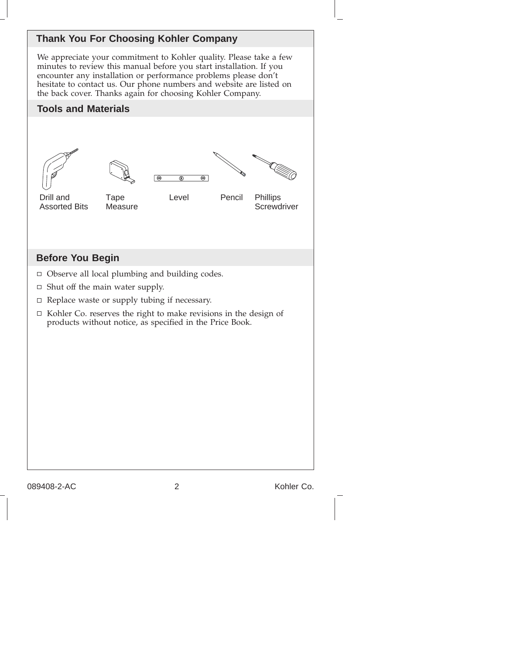

We appreciate your commitment to Kohler quality. Please take a few minutes to review this manual before you start installation. If you encounter any installation or performance problems please don't hesitate to contact us. Our phone numbers and website are listed on the back cover. Thanks again for choosing Kohler Company.







 $\bigcirc$ Œ

Drill and Assorted Bits

Measure

Tape

Level Pencil Phillips

**Screwdriver** 

### **Before You Begin**

- Observe all local plumbing and building codes.
- $\Box$  Shut off the main water supply.
- $\Box$  Replace waste or supply tubing if necessary.
- $\Box$  Kohler Co. reserves the right to make revisions in the design of products without notice, as specified in the Price Book.

089408-2-AC 2 Kohler Co.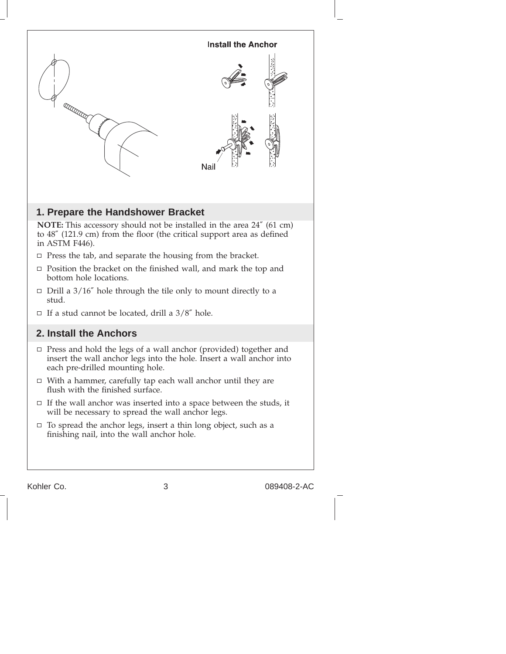

Kohler Co. 2008-2-AC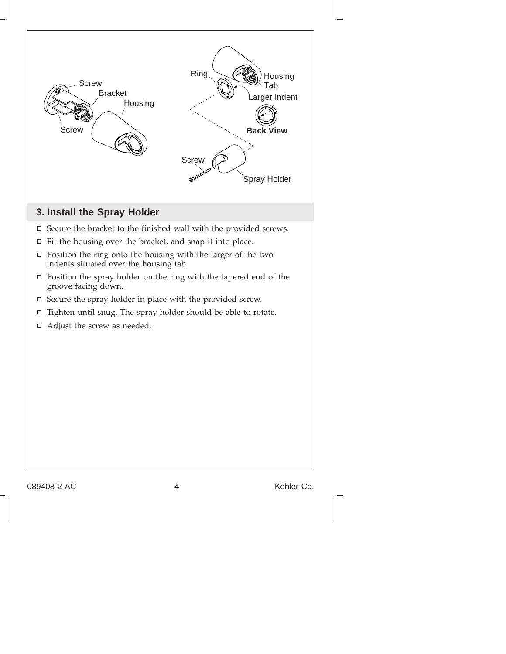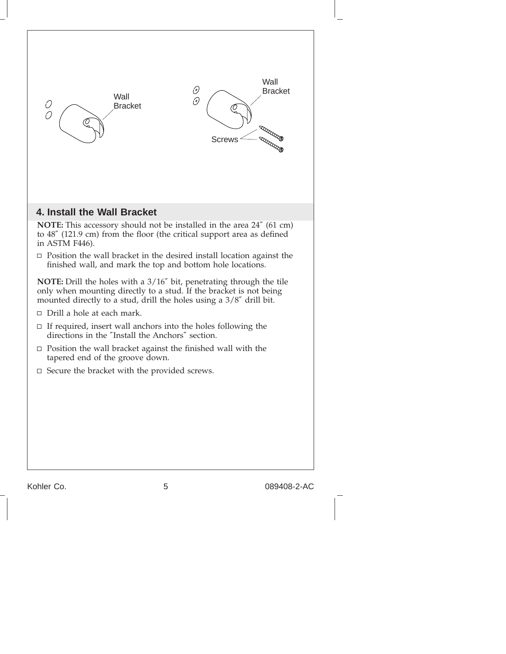

Kohler Co. 6 089408-2-AC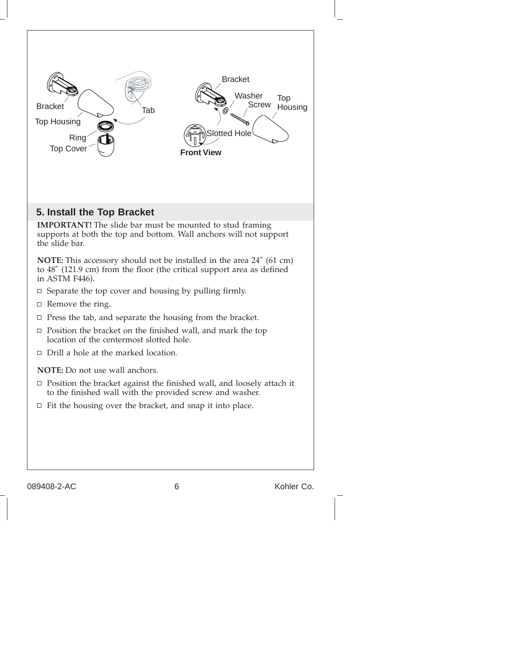

089408-2-AC 6 6 Kohler Co.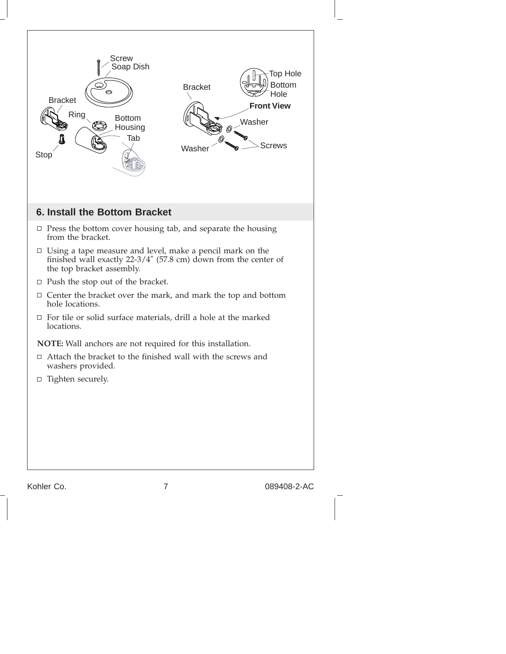

Kohler Co. 20089408-2-AC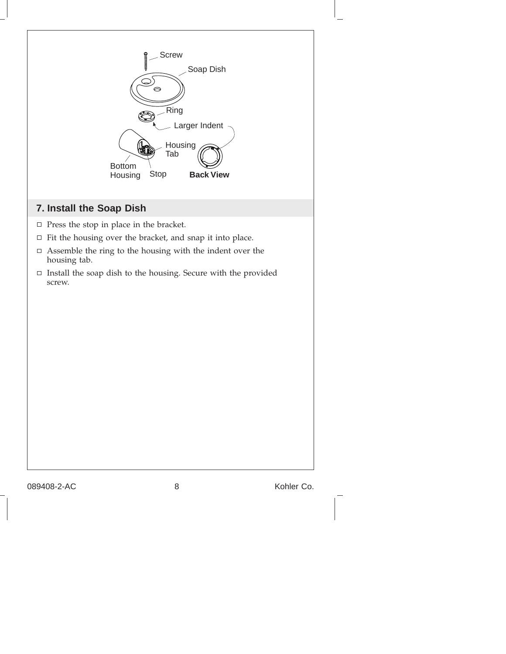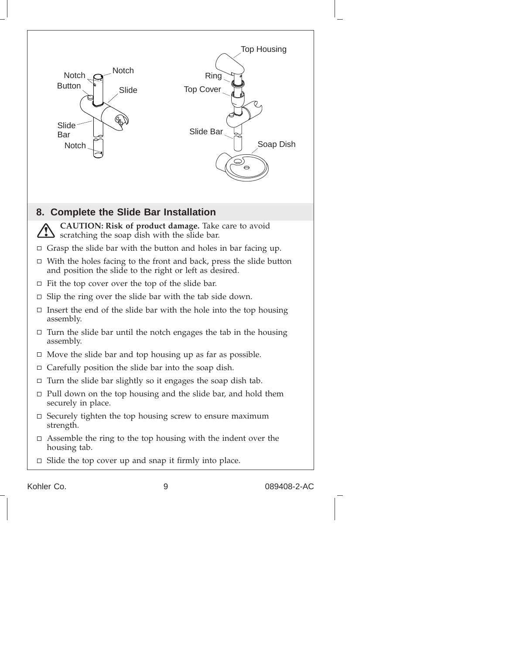

Kohler Co. 6 089408-2-AC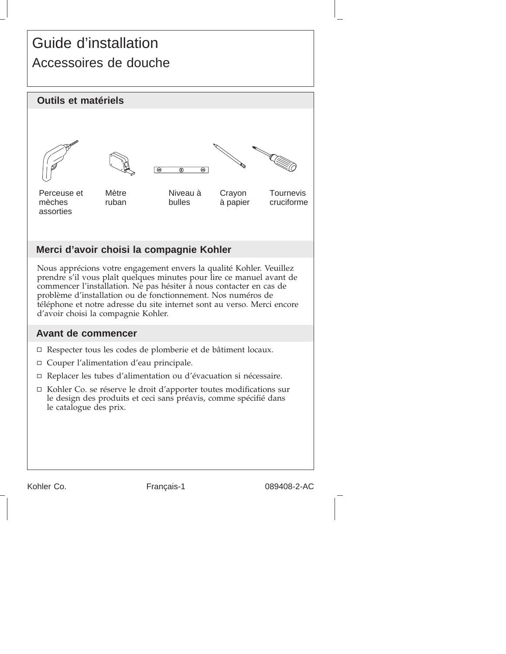# Guide d'installation Accessoires de douche



Kohler Co. Français-1 089408-2-AC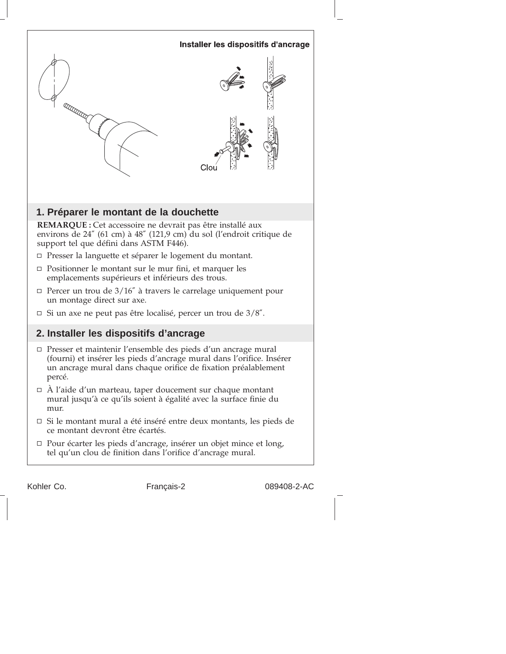

Kohler Co. Français-2 089408-2-AC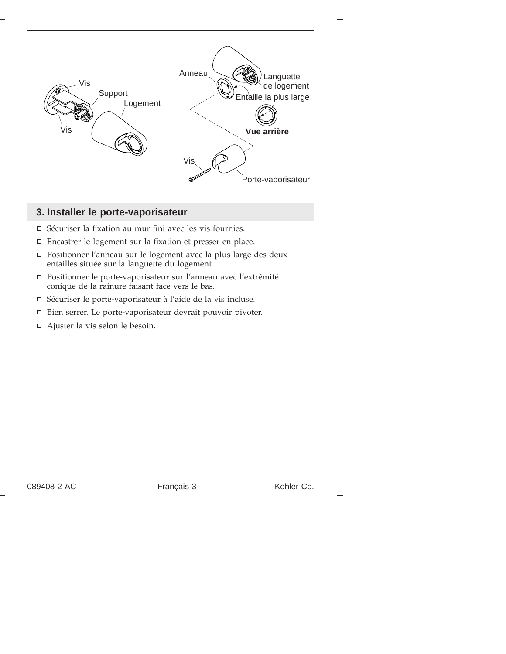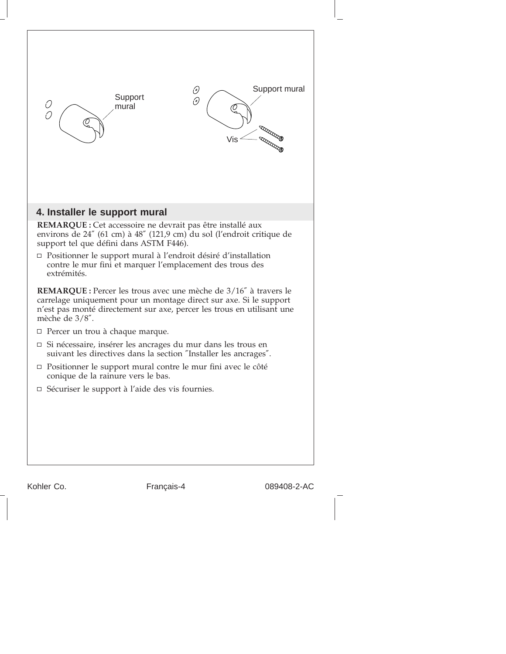| Support mural<br>0<br>Support<br>0<br>0<br>0<br>mural<br>Vis                                                                                                                                                                                                                                                                    |
|---------------------------------------------------------------------------------------------------------------------------------------------------------------------------------------------------------------------------------------------------------------------------------------------------------------------------------|
| 4. Installer le support mural                                                                                                                                                                                                                                                                                                   |
| REMARQUE : Cet accessoire ne devrait pas être installé aux<br>environs de 24" (61 cm) à 48" (121,9 cm) du sol (l'endroit critique de<br>support tel que défini dans ASTM F446).<br>□ Positionner le support mural à l'endroit désiré d'installation<br>contre le mur fini et marquer l'emplacement des trous des<br>extrémités. |
| REMARQUE : Percer les trous avec une mèche de 3/16" à travers le<br>carrelage uniquement pour un montage direct sur axe. Si le support<br>n'est pas monté directement sur axe, percer les trous en utilisant une<br>mèche de $3/8$ ".                                                                                           |
| $\Box$ Percer un trou à chaque marque.                                                                                                                                                                                                                                                                                          |
| □ Si nécessaire, insérer les ancrages du mur dans les trous en<br>suivant les directives dans la section "Installer les ancrages".                                                                                                                                                                                              |
| □ Positionner le support mural contre le mur fini avec le côté<br>conique de la rainure vers le bas.                                                                                                                                                                                                                            |
| $\Box$ Sécuriser le support à l'aide des vis fournies.                                                                                                                                                                                                                                                                          |
|                                                                                                                                                                                                                                                                                                                                 |

Kohler Co. Français-4 089408-2-AC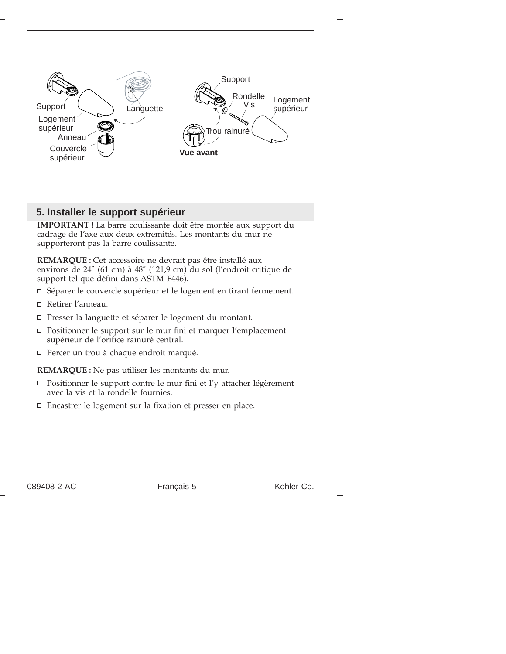

089408-2-AC Français-5 Kohler Co.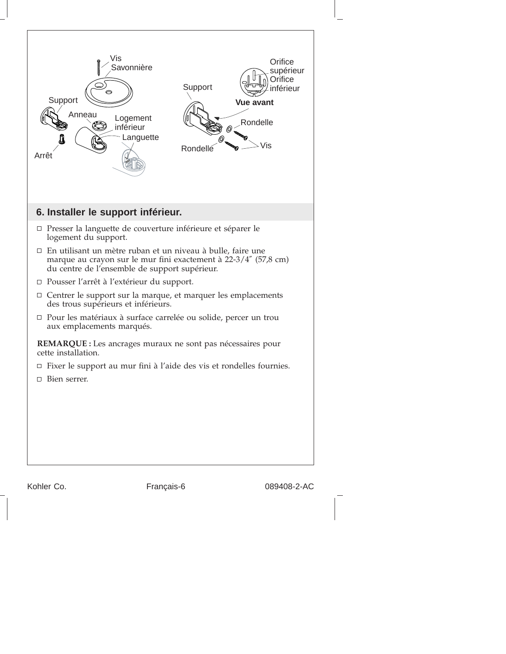

Kohler Co. Français-6 089408-2-AC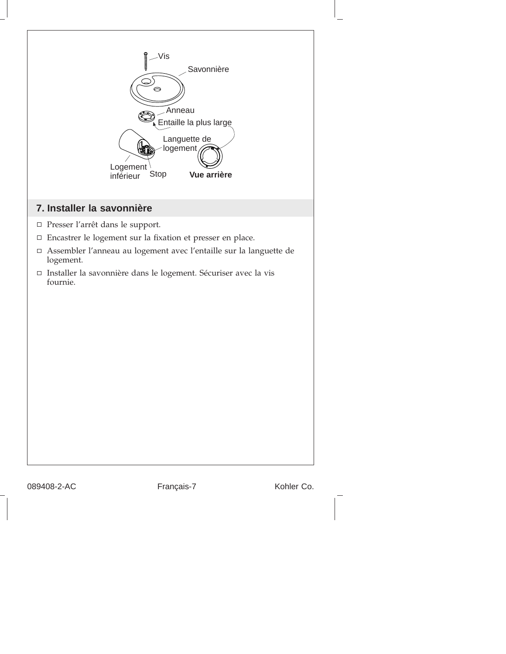

089408-2-AC Français-7 Kohler Co.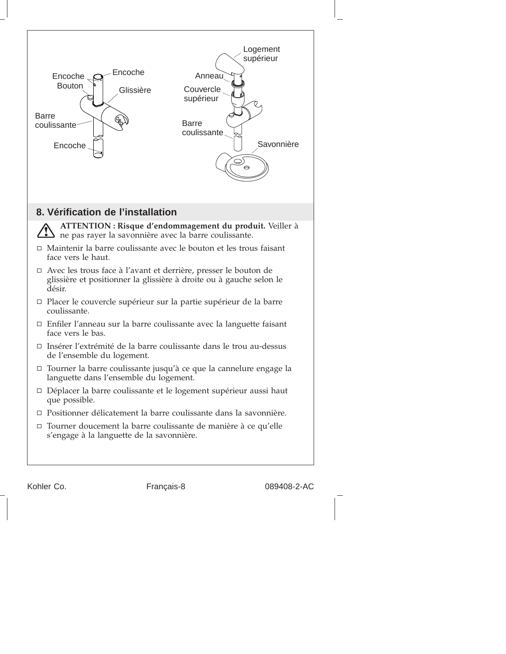

Kohler Co. Français-8 089408-2-AC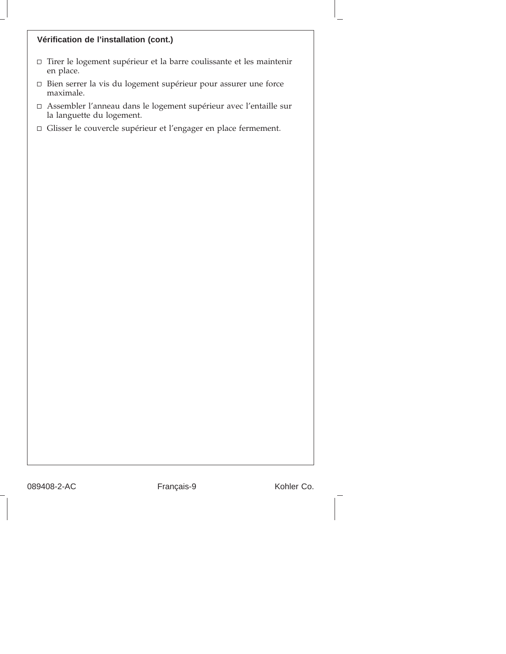#### **Vérification de l'installation (cont.)**

- $\Box$  Tirer le logement supérieur et la barre coulissante et les maintenir en place.
- Bien serrer la vis du logement supérieur pour assurer une force maximale.
- Assembler l'anneau dans le logement supérieur avec l'entaille sur la languette du logement.
- Glisser le couvercle supérieur et l'engager en place fermement.

089408-2-AC Français-9 Kohler Co.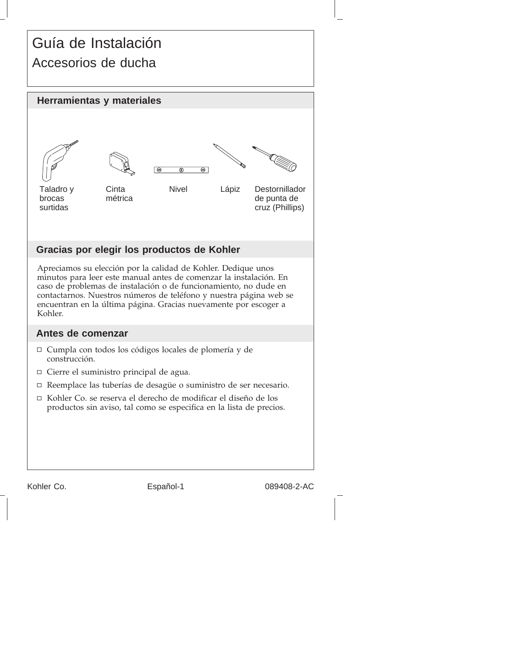## Guía de Instalación Accesorios de ducha



Apreciamos su elección por la calidad de Kohler. Dedique unos minutos para leer este manual antes de comenzar la instalación. En caso de problemas de instalación o de funcionamiento, no dude en contactarnos. Nuestros números de teléfono y nuestra página web se encuentran en la última página. Gracias nuevamente por escoger a Kohler.

### **Antes de comenzar**

- Cumpla con todos los códigos locales de plomería y de construcción.
- Cierre el suministro principal de agua.
- Reemplace las tuberías de desagüe o suministro de ser necesario.
- □ Kohler Co. se reserva el derecho de modificar el diseño de los productos sin aviso, tal como se especifica en la lista de precios.

Kohler Co. **Español-1** Español-1 089408-2-AC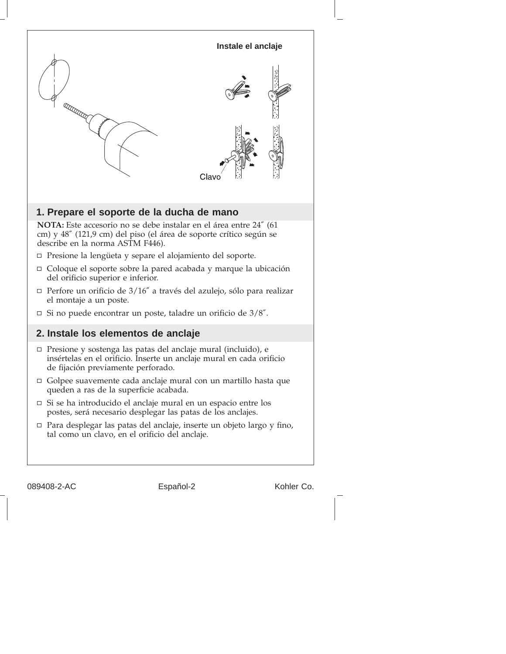

089408-2-AC Español-2 Kohler Co.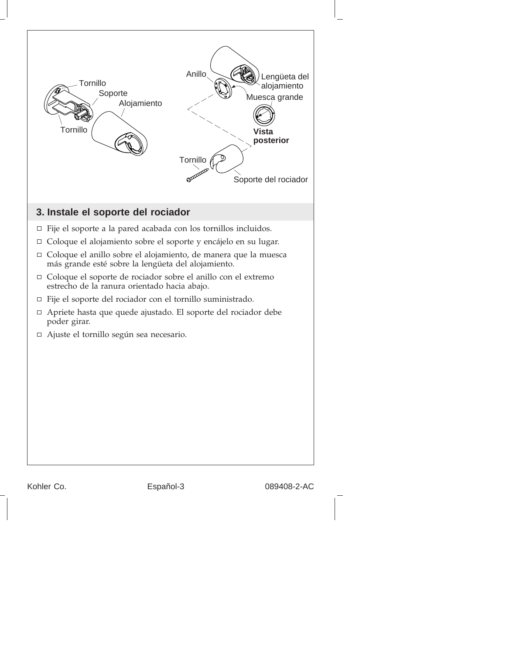

Kohler Co. **Español-3** Español-3 089408-2-AC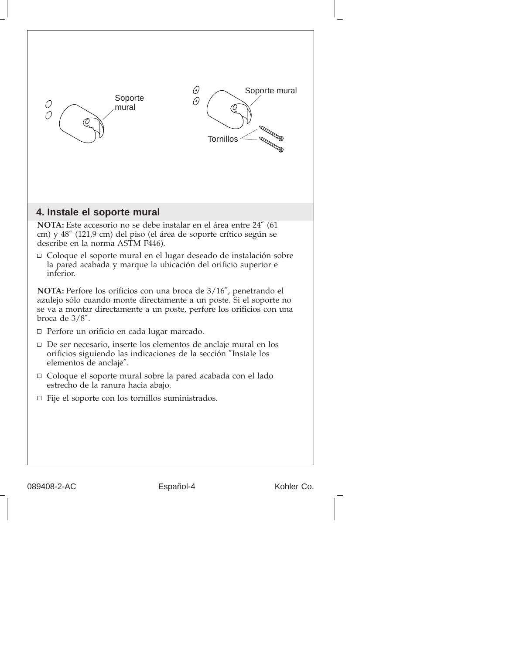

089408-2-AC Español-4 Kohler Co.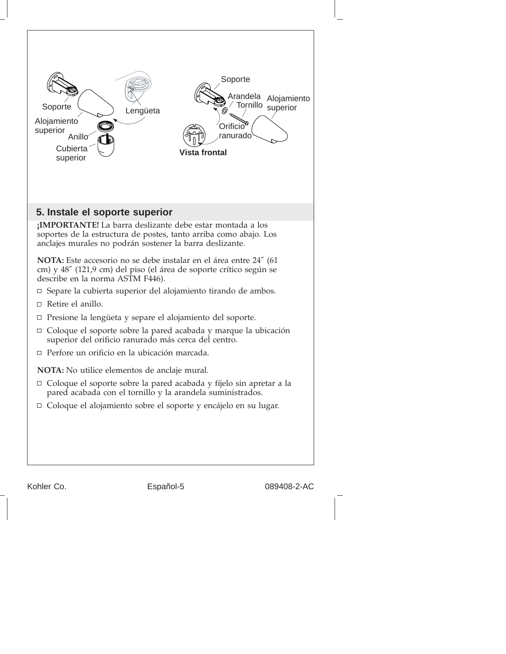

Kohler Co. **Español-5** Español-5 089408-2-AC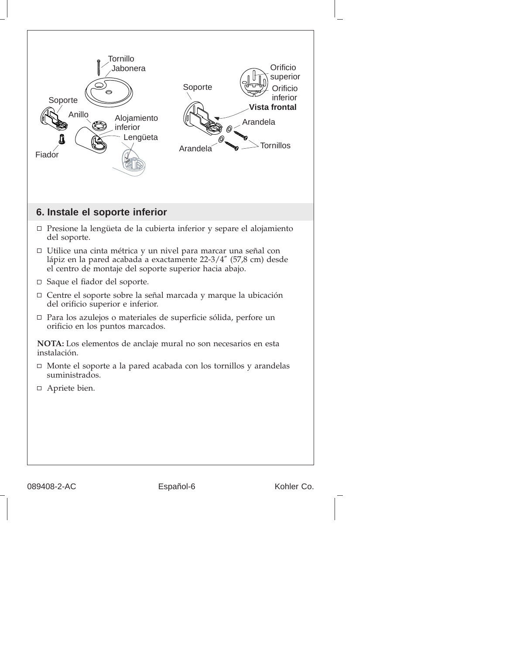

089408-2-AC Español-6 Español-6 Kohler Co.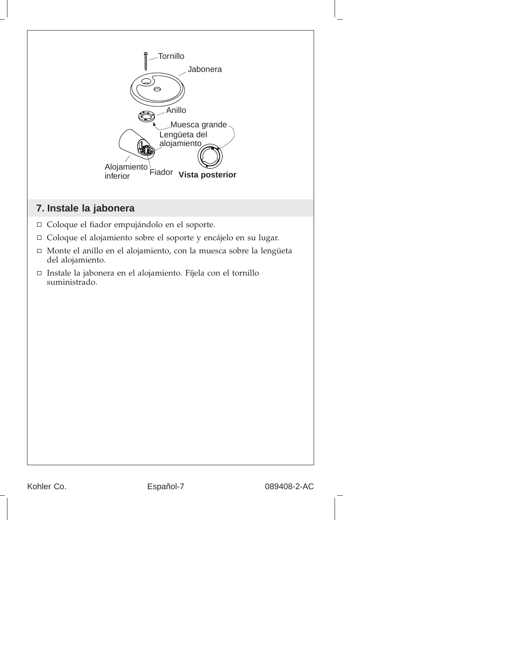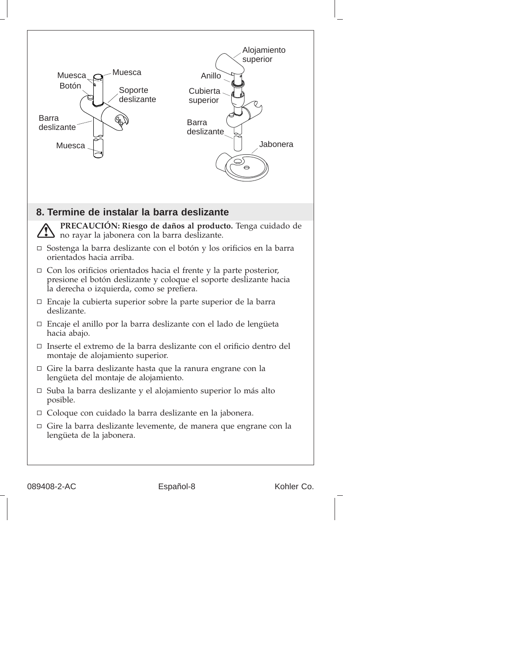

089408-2-AC Español-8 Kohler Co.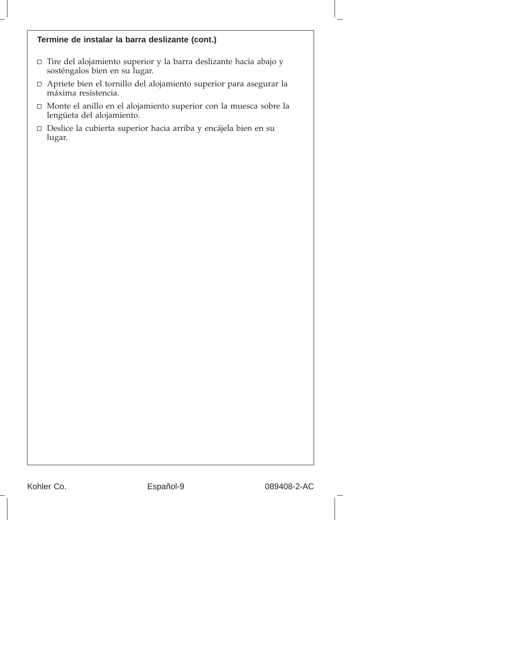#### **Termine de instalar la barra deslizante (cont.)**

- $\Box$  Tire del alojamiento superior y la barra deslizante hacia abajo y sosténgalos bien en su lugar.
- Apriete bien el tornillo del alojamiento superior para asegurar la máxima resistencia.
- Monte el anillo en el alojamiento superior con la muesca sobre la lengüeta del alojamiento.
- Deslice la cubierta superior hacia arriba y encájela bien en su lugar.

Kohler Co. **Español-9 Español-9** 089408-2-AC